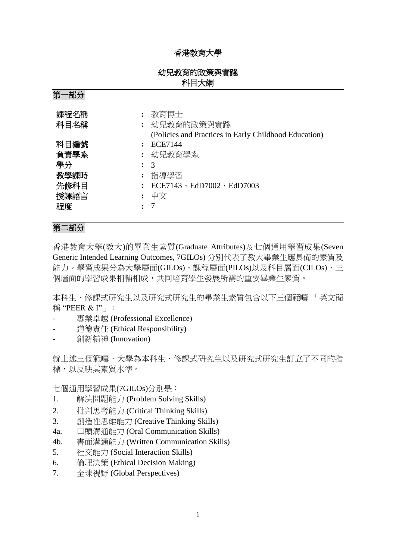# 香港教育大學

# 幼兒教育的政策與實踐 科目大綱

| ╱┙<br>ドドノイ |                                                       |
|------------|-------------------------------------------------------|
| 課程名稱       | 教育博士                                                  |
| 科目名稱       | 幼兒教育的政策與實踐                                            |
|            |                                                       |
|            | (Policies and Practices in Early Childhood Education) |
| 科目編號       | <b>ECE7144</b>                                        |
| 負責學系       | : 幼兒教育學系                                              |
| 學分         | $\mathcal{R}$                                         |
| 教學課時       | 指導學習                                                  |
| 先修科目       | $ECE7143 \cdot EdD7002 \cdot EdD7003$                 |
| 授課語言       | 中文                                                    |
| 程度         |                                                       |

# 第二部分

第一部分

香港教育大學(教大)的畢業生素質(Graduate Attributes)及七個通用學習成果(Seven Generic Intended Learning Outcomes, 7GILOs) 分別代表了教大畢業生應具備的素質及 能力。學習成果分為大學層面(GILOs)、課程層面(PILOs)以及科目層面(CILOs),三 個層面的學習成果相輔相成,共同培育學生發展所需的重要畢業生素質。

本科生、修課式研究生以及研究式研究生的畢業生素質包含以下三個範疇 「英文簡 稱 "PEER & I"」:

- 專業卓越 (Professional Excellence)
- 道德責任 (Ethical Responsibility)
- 創新精神 (Innovation)

就上述三個範疇,大學為本科生、修課式研究生以及研究式研究生訂立了不同的指 標,以反映其素質水準。

七個通用學習成果(7GILOs)分別是:

- 1. 解決問題能力 (Problem Solving Skills)
- 2. 批判思考能力 (Critical Thinking Skills)
- 3. 創造性思維能力 (Creative Thinking Skills)
- 4a. 口頭溝通能力 (Oral Communication Skills)
- 4b. 書面溝通能力 (Written Communication Skills)
- 5. 社交能力 (Social Interaction Skills)
- 6. 倫理決策 (Ethical Decision Making)
- 7. 全球視野 (Global Perspectives)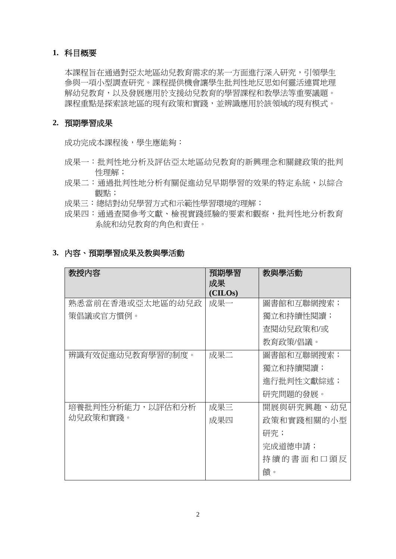### **1.** 科目概要

本課程旨在通過對亞太地區幼兒教育需求的某一方面進行深入研究,引領學生 參與一項小型調查研究。課程提供機會讓學生批判性地反思如何靈活連貫地理 解幼兒教育,以及發展應用於支援幼兒教育的學習課程和教學法等重要議題。 課程重點是探索該地區的現有政策和實踐,並辨識應用於該領域的現有模式。

### **2.** 預期學習成果

成功完成本課程後,學生應能夠:

- 成果一:批判性地分析及評估亞太地區幼兒教育的新興理念和關鍵政策的批判 性理解;
- 成果二:通過批判性地分析有關促進幼兒早期學習的效果的特定系統,以綜合 觀點;
- 成果三:總結對幼兒學習方式和示範性學習環境的理解;
- 成果四:通過查閱參考文獻、檢視實踐經驗的要素和觀察,批判性地分析教育 系統和幼兒教育的角色和責任。

| 3.內容、預期學習成果及教與學活動 |  |
|-------------------|--|
|-------------------|--|

| 教授內容             | 預期學習<br>成果<br>(CHLOS) | 教與學活動      |
|------------------|-----------------------|------------|
| 熟悉當前在香港或亞太地區的幼兒政 | 成果一                   | 圖書館和互聯網搜索; |
| 策倡議或官方慣例。        |                       | 獨立和持續性閱讀;  |
|                  |                       | 查閱幼兒政策和/或  |
|                  |                       | 教育政策/倡議。   |
| 辨識有效促進幼兒教育學習的制度。 | 成果二                   | 圖書館和互聯網搜索; |
|                  |                       | 獨立和持續閱讀;   |
|                  |                       | 進行批判性文獻綜述; |
|                  |                       | 研究問題的發展。   |
| 培養批判性分析能力,以評估和分析 | 成果三                   | 開展與研究興趣、幼兒 |
| 幼兒政策和實踐。         | 成果四                   | 政策和實踐相關的小型 |
|                  |                       | 研究;        |
|                  |                       | 完成道德申請;    |
|                  |                       | 持續的書面和口頭反  |
|                  |                       | 饋。         |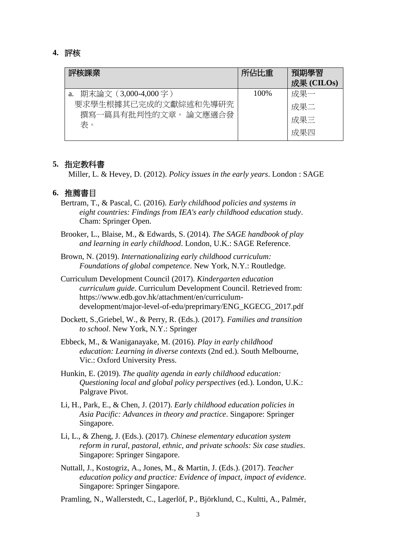#### **4.** 評核

| 評核課業                                         | 所佔比重  | 預期學習<br>成果 (CILOs) |
|----------------------------------------------|-------|--------------------|
| a. 期末論文 (3,000-4,000字)                       | 100\% | 成果一                |
| 要求學生根據其已完成的文獻綜述和先導研究<br>撰寫一篇具有批判性的文章。 論文應適合發 |       | 成果二                |
| 表。                                           |       | 成果三                |
|                                              |       | 成果四                |

#### **5.** 指定教科書

Miller, L. & Hevey, D. (2012). *Policy issues in the early years*. London : SAGE

#### **6.** 推薦書目

- Bertram, T., & Pascal, C. (2016). *Early childhood policies and systems in eight countries: Findings from IEA's early childhood education study*. Cham: Springer Open.
- Brooker, L., Blaise, M., & Edwards, S. (2014). *The SAGE handbook of play and learning in early childhood*. London, U.K.: SAGE Reference.
- Brown, N. (2019). *Internationalizing early childhood curriculum: Foundations of global competence*. New York, N.Y.: Routledge.
- Curriculum Development Council (2017). *Kindergarten education curriculum guide*. Curriculum Development Council. Retrieved from: https://www.edb.gov.hk/attachment/en/curriculumdevelopment/major-level-of-edu/preprimary/ENG\_KGECG\_2017.pdf
- Dockett, S.,Griebel, W., & Perry, R. (Eds.). (2017). *Families and transition to school*. New York, N.Y.: Springer
- Ebbeck, M., & Waniganayake, M. (2016). *Play in early childhood education: Learning in diverse contexts* (2nd ed.). South Melbourne, Vic.: Oxford University Press.
- Hunkin, E. (2019). *The quality agenda in early childhood education: Questioning local and global policy perspectives* (ed.). London, U.K.: Palgrave Pivot.
- Li, H., Park, E., & Chen, J. (2017). *Early childhood education policies in Asia Pacific: Advances in theory and practice*. Singapore: Springer Singapore.
- Li, L., & Zheng, J. (Eds.). (2017). *Chinese elementary education system reform in rural, pastoral, ethnic, and private schools: Six case studies*. Singapore: Springer Singapore.
- Nuttall, J., Kostogriz, A., Jones, M., & Martin, J. (Eds.). (2017). *Teacher education policy and practice: Evidence of impact, impact of evidence*. Singapore: Springer Singapore.
- Pramling, N., Wallerstedt, C., Lagerlöf, P., Björklund, C., Kultti, A., Palmér,